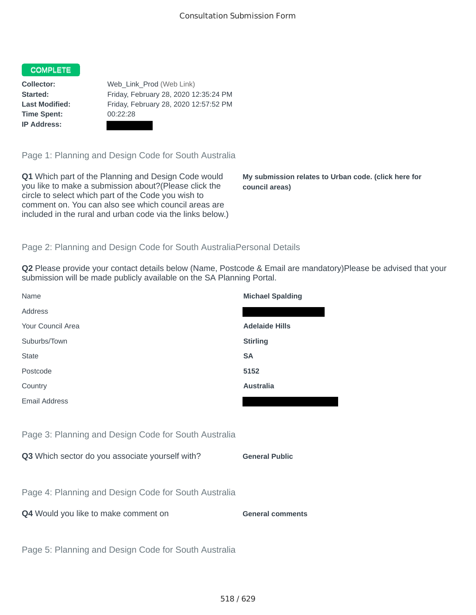## COMPLETE

**Time Spent:** 00:22:28 **IP Address:**

**Collector:** Web\_Link\_Prod (Web Link) **Started:** Friday, February 28, 2020 12:35:24 PM **Last Modified:** Friday, February 28, 2020 12:57:52 PM

Page 1: Planning and Design Code for South Australia

**Q1** Which part of the Planning and Design Code would you like to make a submission about?(Please click the circle to select which part of the Code you wish to comment on. You can also see which council areas are included in the rural and urban code via the links below.)

**My submission relates to Urban code. (click here for council areas)**

## Page 2: Planning and Design Code for South AustraliaPersonal Details

**Q2** Please provide your contact details below (Name, Postcode & Email are mandatory)Please be advised that your submission will be made publicly available on the SA Planning Portal.

| Name                                                 | <b>Michael Spalding</b> |
|------------------------------------------------------|-------------------------|
| Address                                              |                         |
| Your Council Area                                    | <b>Adelaide Hills</b>   |
| Suburbs/Town                                         | <b>Stirling</b>         |
| <b>State</b>                                         | <b>SA</b>               |
| Postcode                                             | 5152                    |
| Country                                              | <b>Australia</b>        |
| <b>Email Address</b>                                 |                         |
|                                                      |                         |
| Page 3: Planning and Design Code for South Australia |                         |
| Q3 Which sector do you associate yourself with?      | <b>General Public</b>   |
|                                                      |                         |
| Page 4: Planning and Design Code for South Australia |                         |
| Q4 Would you like to make comment on                 | <b>General comments</b> |
|                                                      |                         |
| Page 5: Planning and Design Code for South Australia |                         |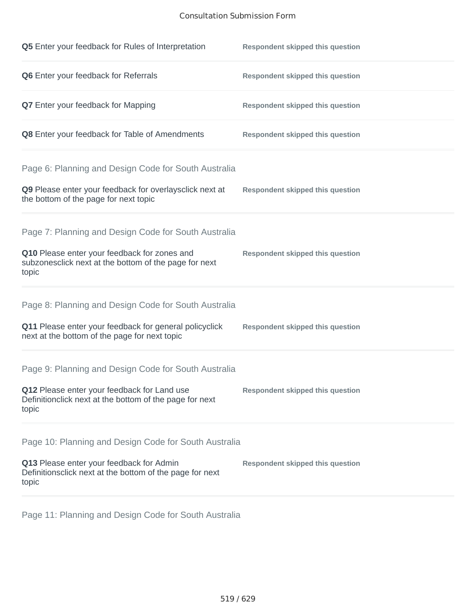## Consultation Submission Form

| Q5 Enter your feedback for Rules of Interpretation                                                              | <b>Respondent skipped this question</b> |
|-----------------------------------------------------------------------------------------------------------------|-----------------------------------------|
| Q6 Enter your feedback for Referrals                                                                            | <b>Respondent skipped this question</b> |
| <b>Q7</b> Enter your feedback for Mapping                                                                       | <b>Respondent skipped this question</b> |
| Q8 Enter your feedback for Table of Amendments                                                                  | <b>Respondent skipped this question</b> |
| Page 6: Planning and Design Code for South Australia                                                            |                                         |
| Q9 Please enter your feedback for overlaysclick next at<br>the bottom of the page for next topic                | <b>Respondent skipped this question</b> |
| Page 7: Planning and Design Code for South Australia                                                            |                                         |
| Q10 Please enter your feedback for zones and<br>subzonesclick next at the bottom of the page for next<br>topic  | <b>Respondent skipped this question</b> |
| Page 8: Planning and Design Code for South Australia                                                            |                                         |
| Q11 Please enter your feedback for general policyclick<br>next at the bottom of the page for next topic         | <b>Respondent skipped this question</b> |
| Page 9: Planning and Design Code for South Australia                                                            |                                         |
| Q12 Please enter your feedback for Land use<br>Definitionclick next at the bottom of the page for next<br>topic | <b>Respondent skipped this question</b> |
| Page 10: Planning and Design Code for South Australia                                                           |                                         |
| Q13 Please enter your feedback for Admin<br>Definitionsclick next at the bottom of the page for next<br>topic   | <b>Respondent skipped this question</b> |

Page 11: Planning and Design Code for South Australia